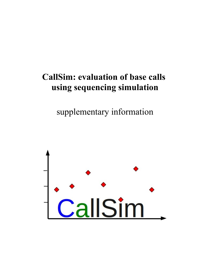# **CallSim: evaluation of base calls using sequencing simulation**

supplementary information

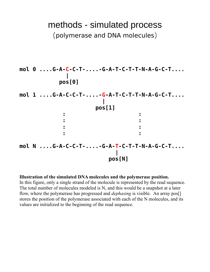# methods - simulated process (polymerase and DNA molecules)



#### **Illustration of the simulated DNA molecules and the polymerase position.**

In this figure, only a single strand of the molecule is represented by the read sequence. The total number of molecules modeled is N, and this would be a snapshot at a later flow, where the polymerase has progressed and *dephasing* is visible. An array pos[] stores the position of the polymerase associated with each of the N molecules, and its values are initialized to the beginning of the read sequence.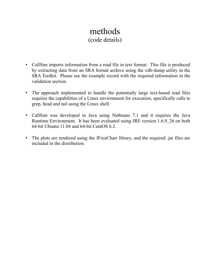## methods (code details)

- CallSim imports information from a read file in text format. This file is produced by extracting data from an SRA format archive using the vdb-dump utility in the SRA Toolkit. Please see the example record with the required information in the validation section.
- The approach implemented to handle the potentially large text-based read files requires the capabilities of a Linux environment for execution, specifically calls to grep, head and tail using the Linux shell.
- CallSim was developed in Java using Netbeans 7.1 and it requires the Java Runtime Environment. It has been evaluated using JRE version 1.6.0\_26 on both 64-bit Ubuntu 11.04 and 64-bit CentOS 6.2.
- The plots are rendered using the JFreeChart library, and the required .jar files are included in the distribution.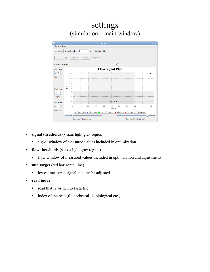## settings (simulation – main window)



- **signal thresholds** (y-axis light gray region)
	- signal window of measured values included in optimization
- **flow thresholds** (x-axis light gray region)
	- flow window of measured values included in optimization and adjustments
- **min target** (red horizontal line)
	- lowest measured signal that can be adjusted
- **read index**
	- read that is written to fasta file
	- $\cdot$  index of the read (0 technical, 1- biological etc.)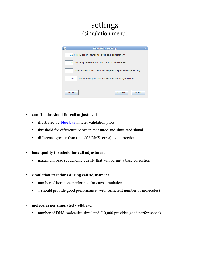## settings (simulation menu)

| <b>Simulation Settings</b>                                  |
|-------------------------------------------------------------|
| 5.0 x RMS error - threshold for call adjustment             |
| base quality threshold for call adjustment<br>40            |
| 1<br>simulation iterations during call adjustment (max. 10) |
| molecules per simulated well (max. 1,000,000)<br>10000      |
|                                                             |
| <b>Defaults</b><br>Cancel<br>Save                           |

#### **cutoff – threshold for call adjustment**

- illustrated by **blue bar** in later validation plots
- threshold for difference between measured and simulated signal
- $\bullet$  difference greater than (cutoff  $*$  RMS error) --> correction

#### **base quality threshold for call adjustment**

maximum base sequencing quality that will permit a base correction

#### **simulation iterations during call adjustment**

- number of iterations performed for each simulation
- 1 should provide good performance (with sufficient number of molecules)

#### **molecules per simulated well/bead**

• number of DNA molecules simulated (10,000 provides good performance)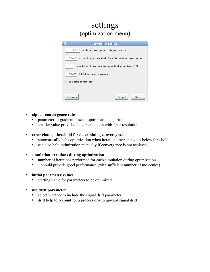## settings (optimization menu)

| <b>Optimization Settings</b><br>当                            |  |  |  |  |  |  |  |  |  |
|--------------------------------------------------------------|--|--|--|--|--|--|--|--|--|
| $1.0E - 7$<br>alpha - convergence rate parameter             |  |  |  |  |  |  |  |  |  |
| error change threshold for determining convergence<br>0.0010 |  |  |  |  |  |  |  |  |  |
| ı<br>simulation iterations during optimization (max. 10)     |  |  |  |  |  |  |  |  |  |
| initial parameter values<br>0.0050                           |  |  |  |  |  |  |  |  |  |
| use drift parameter?                                         |  |  |  |  |  |  |  |  |  |
|                                                              |  |  |  |  |  |  |  |  |  |
| <b>Defaults</b><br>Cancel<br>Save                            |  |  |  |  |  |  |  |  |  |

#### **alpha - convergence rate**

- parameter of gradient descent optimization algorithm
- smaller value provides longer execution with finer resolution

#### **error change threshold for determining convergence**

- automatically halts optimization when iteration error change is below threshold
- can also halt optimization manually if convergence is not achieved

#### **simulation iterations during optimization**

- number of iterations performed for each simulation during optimization
- 1 should provide good performance (with sufficient number of molecules)

#### **initial parameter values**

- starting value for parameters to be optimized
- **use drift parameter**
	- select whether to include the signal drift parameter
	- drift help to account for a process driven upward signal drift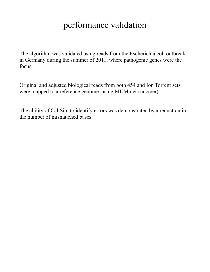# performance validation

The algorithm was validated using reads from the Escherichia coli outbreak in Germany during the summer of 2011, where pathogenic genes were the focus.

Original and adjusted biological reads from both 454 and Ion Torrent sets were mapped to a reference genome using MUMmer (nucmer).

The ability of CallSim to identify errors was demonstrated by a reduction in the number of mismatched bases.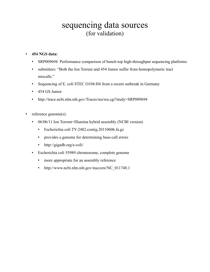## sequencing data sources (for validation)

#### **454 NGS data:**

- SRP009694 Performance comparison of bench-top high-throughput sequencing platforms
- submitters: "Both the Ion Torrent and 454 Junior suffer from homopolymeric tract miscalls."
- Sequencing of E. coli STEC O104:H4 from a recent outbreak in Germany
- 454 GS Junior
- http://trace.ncbi.nlm.nih.gov/Traces/sra/sra.cgi?study=SRP009694
- reference genome(s):
	- 06/06/11 Ion Torrent+Illumina hybrid assembly (NCBI version)
		- Escherichia coli TY-2482.contig.20110606.fa.gz
		- provides a genome for determining base-call errors
		- http://gigadb.org/e-coli/
	- Escherichia coli 55989 chromosome, complete genome
		- more appropriate for an assembly reference
		- http://www.ncbi.nlm.nih.gov/nuccore/NC\_011748.1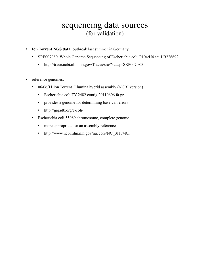## sequencing data sources (for validation)

- **Ion Torrent NGS data**: outbreak last summer in Germany
	- SRP007080 Whole Genome Sequencing of Escherichia coli O104:H4 str. LB226692
		- http://trace.ncbi.nlm.nih.gov/Traces/sra/?study=SRP007080
- reference genomes:
	- 06/06/11 Ion Torrent+Illumina hybrid assembly (NCBI version)
		- Escherichia coli TY-2482.contig.20110606.fa.gz
		- provides a genome for determining base-call errors
		- http://gigadb.org/e-coli/
	- Escherichia coli 55989 chromosome, complete genome
		- more appropriate for an assembly reference
		- http://www.ncbi.nlm.nih.gov/nuccore/NC\_011748.1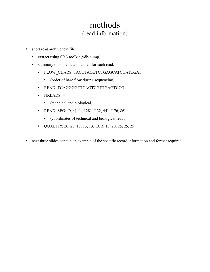## methods (read information)

- short read archive text file
	- extract using SRA toolkit (vdb-dump)
	- summary of some data obtained for each read:
		- FLOW\_CHARS: TACGTACGTCTGAGCATCGATCGAT
			- (order of base flow during sequencing)
		- READ: TCAGGGGTTCAGTCGTTGAGTCCG
		- NREADS: 4
			- (technical and biological)
		- READ SEG:  $[0, 4]$ ,  $[4, 128]$ ,  $[132, 44]$ ,  $[176, 86]$ 
			- (coordinates of technical and biological reads)
		- QUALITY: 20, 20, 13, 13, 13, 13, 3, 13, 20, 25, 25, 25
- next three slides contain an example of the specific record information and format required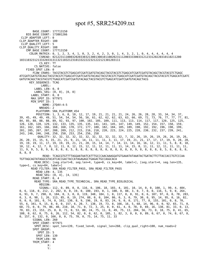#### spot #5, SRR254209.txt

 BASE\_COUNT: 177713150 BIO\_BASE\_COUNT: 173801266 CLIP\_ADAPTER\_LEFT: 0 CLIP\_ADAPTER\_RIGHT: 100 CLIP\_QUALITY\_LEFT: 5 CLIP\_QUALITY\_RIGHT: 108 CMP\_BASE\_COUNT: 177713150 COLOR MATRIX: 0, 1, 2, 3, 4, 1, 0, 3, 2, 4, 2, 3, 0, 1, 4, 3, 2, 1, 0, 4, 4, 4, 4, 4, 4 CSREAD: 021223111000320203303213001300101100202311120033330033121233120220310110211200 1031103231213332033131132110321231013322222321222121301203111 CS\_KEY: TT CS NATIVE: false FIXED SPOT LEN: 0 FLOW\_CHARS: TACGTACGTCTGAGCATCGATCGATGTACAGCTACGTACGTCTGAGCATCGATCGATGTACAGCTACGTACGTCTGAGC ATCGATCGATGTACAGCTACGTACGTCTGAGCATCGATCGATGTACAGCTACGTACGTCTGAGCATCGATCGATGTACAGCTACGTACGTCTGAGCATCGATC GATGTACAGCTACGTACGTCTGAGCATCGATCGATGTACAGCTACGTACGTCTGAGCATCGATCGATGTACAGCTACG KEY\_SEQUENCE: TCAG LABEL: LABEL\_LEN: 0, 0 LABEL\_SEG: [0, 0], [0, 0] LABEL START: 0, 0 MAX\_SPOT\_ID: 977971 MIN\_SPOT\_ID: 1 NAME: 27Q4V:4:5 NREADS: 2 PLATFORM: SRA\_PLATFORM\_454 POSITION: 1, 3, 6, 8, 10, 12, 17, 19, 21, 21, 21, 21, 24, 26, 26, 28, 28, 33, 34, 34, 37, 39, 45, 49, 49, 49, 51, 54, 54, 54, 56, 56, 61, 62, 62, 62, 63, 63, 66, 69, 72, 73, 76, 77, 77, 77, 81, 84, 85, 88, 88, 88, 89, 92, 93, 97, 100, 102, 105, 109, 111, 113, 113, 114, 117, 117, 120, 125, 125, 126, 128, 128, 129, 132, 133, 135, 135, 135, 141, 141, 145, 147, 149, 149, 152, 154, 157, 158, 159, 161, 162, 165, 166, 168, 168, 170, 172, 177, 180, 182, 184, 185, 189, 190, 192, 192, 196, 198, 199, 201, 205, 207, 207, 208, 209, 212, 215, 216, 218, 220, 223, 224, 225, 228, 230, 232, 237, 239, 241, 243, 246, 246, 248, 250, 250, 253, 254, 256, 258 QUALITY: 32, 32, 32, 32, 32, 32, 32, 32, 32, 32, 32, 7, 32, 26, 19, 26, 19, 26, 26, 19, 26, 26, 20, 15, 15, 6, 15, 21, 21, 9, 21, 14, 11, 11, 11, 3, 11, 17, 19, 21, 21, 17, 17, 17, 19, 9, 28, 28, 19, 19, 19, 11, 17, 19, 19, 19, 21, 21, 20, 15, 14, 14, 7, 14, 13, 14, 16, 16, 12, 11, 11, 5, 8, 8, 10, 10, 12, 4, 12, 7, 8, 12, 11, 8, 12, 15, 12, 11, 12, 11, 11, 11, 14, 15, 8, 11, 11, 12, 11, 11, 11, 11, 11, 9, 9, 5, 8, 9, 8, 8, 8, 8, 5, 8, 8, 8, 8, 8, 8, 8, 8, 8, 8, 8, 8, 9, 8, 8, 8, 8, 8, 5, 8, 8, 8, 8, 8, 8, 8 READ: TCAGCGTGTTTTAGGAATAATCATTTGCCCAACAAAGGATGTGAAATATAAATACTGATACTTCTTACCACCTGTCCCAA TGTTAGCAGTATAGGCGTACATCACCGACTACCATAGAGAGCTGAGACTGCCAGGCACA READ\_DESC: [seg.start=0, seg.len=4, type=0, cs\_key=84, label=], [seg.start=4, seg.len=135, type=1, cs key=84, label=] READ\_FILTER: SRA\_READ\_FILTER\_PASS, SRA\_READ\_FILTER\_PASS  $R\overline{E}AD$ \_LEN: 4,  $\overline{1}35$  READ\_SEG: [0, 4], [4, 135] READ\_START: 0, 4 READ TYPE: SRA\_READ\_TYPE\_TECHNICAL, SRA\_READ\_TYPE\_BIOLOGICAL REGION: SIGNAL: 112, 0, 89, 0, 0, 116, 0, 106, 18, 103, 4, 101, 10, 14, 0, 0, 100, 1, 99, 4, 404, 0, 6, 118, 0, 212, 2, 202, 0, 0, 19, 0, 100, 193, 0, 1, 100, 0, 88, 3, 0, 7, 0, 0, 116, 5, 9, 0, 264, 6, 91, 9, 7, 290, 0, 184, 0, 3, 0, 0, 119, 348, 184, 1, 0, 117, 0, 0, 91, 0, 6, 107, 97, 0, 0, 78, 283, 0, 3, 0, 98, 1, 26, 113, 85, 0, 19, 274, 88, 0, 0, 104, 86, 0, 3, 0, 79, 30, 0, 95, 14, 95, 0, 16, 82, 0, 0, 0, 101, 0, 74, 0, 161, 130, 8, 9, 196, 19, 0, 83, 24, 9, 0, 0, 171, 77, 8, 155, 101, 0, 8, 70, 55, 6, 341, 9, 15, 8, 0, 0, 157, 6, 20, 7, 138, 19, 73, 8, 166, 16, 5, 68, 14, 96, 0, 0, 92, 65, 71, 0, 68, 73, 0, 0, 79, 86, 40, 210, 10, 71, 0, 72, 3, 25, 0, 0, 61, 4, 0, 78, 0, 69, 16, 138, 81, 33, 0, 13, 78, 83, 23, 153, 25, 0, 0, 71, 0, 53, 80, 24, 75, 11, 0, 49, 75, 13, 204, 56, 73, 0, 18, 75, 0, 41, 65, 108, 0, 62, 0, 75, 6, 26, 112, 54, 82, 0, 0, 62, 0, 105, 1, 82, 3, 0, 0, 0, 89, 0, 67, 0, 74, 0, 67, 8, 0, 157, 0, 132, 0, 166, 0, 0, 75, 70, 0, 75, 14, 75, 11, 33 SIGNAL\_LEN: 260 SPOT\_COUNT: 977971 SPOT\_DESC: spot\_len=139, fixed\_len=0, signal\_len=260, clip\_qual\_right=100, num\_reads=2 SPOT\_GROUP: SPOT\_ID: 5 SPOT\_LEN: 139 TRIM\_LEN: 96 TRIM\_START: 4 X: Y: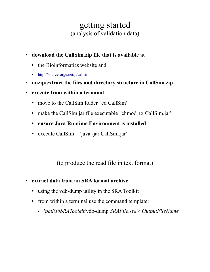## getting started (analysis of validation data)

- **download the CallSim.zip file that is available at**
	- the Bioinformatics website and
	- •<http://sourceforge.net/p/callsim>
- **unzip/extract the files and directory structure in CallSim.zip**
- **execute from within a terminal**
	- move to the CallSim folder 'cd CallSim'
	- make the CallSim.jar file executable 'chmod +x CallSim.jar'
	- **ensure Java Runtime Environment is installed**
	- execute CallSim 'java -jar CallSim.jar'

(to produce the read file in text format)

- **extract data from an SRA format archive**
	- using the vdb-dump utility in the SRA Toolkit
	- from within a terminal use the command template:
		- '*pathToSRAToolkit*/vdb-dump *SRAFile*.sra > *OutputFileName*'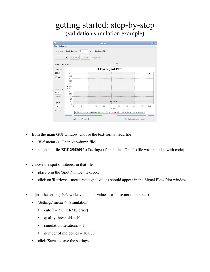## getting started: step-by-step (validation simulation example)



- from the main GUI window, choose the text-format read file
	- 'file' menu -> 'Open vdb-dump file'
	- select the file '**SRR254209forTesting.txt**' and click 'Open' (file was included with code)
- choose the spot of interest in that file
	- place **5** in the 'Spot Number' text box
	- click on 'Retrieve' measured signal values should appear in the Signal Flow Plot window
- adjust the settings below (leave default values for those not mentioned)
	- 'Settings' menu -> 'Simulation'
		- cutoff =  $3.0$  (x RMS error)
		- quality threshold  $= 40$
		- $\bullet$  simulation iterations = 1
		- number of molecules  $= 10,000$
	- click 'Save' to save the settings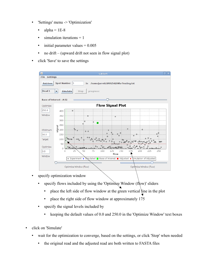- 'Settings' menu -> 'Optimization'
	- alpha =  $1E-8$
	- $\bullet$  simulation iterations = 1
	- $\cdot$  initial parameter values =  $0.005$
	- no drift (upward drift not seen in flow signal plot)
- click 'Save' to save the settings

| <b>File Settings</b> |                                   |                                                                               |                                       |                  |                        |     |                        | $=$          |
|----------------------|-----------------------------------|-------------------------------------------------------------------------------|---------------------------------------|------------------|------------------------|-----|------------------------|--------------|
|                      |                                   |                                                                               |                                       |                  |                        |     |                        |              |
| <b>Retrieve</b>      | Spot Number 5                     | in                                                                            | /home/jarrett/SRR254209forTesting.txt |                  |                        |     |                        |              |
| <b>Read 1</b>        | Simulate<br>$\blacktriangledown$  | Stop                                                                          | progress:                             |                  |                        |     |                        |              |
|                      | <b>Base of Interest - A:51</b>    |                                                                               |                                       |                  |                        |     |                        |              |
| Optimize             |                                   |                                                                               | <b>Flow Signal Plot</b>               |                  |                        |     |                        |              |
| 250.0                | 400                               |                                                                               |                                       |                  |                        |     |                        |              |
| Window               | 350                               |                                                                               |                                       | $\ddot{\circ}$   |                        |     |                        |              |
|                      | 300                               | $\ddot{\diamond}$                                                             |                                       |                  |                        |     |                        |              |
|                      | 250                               | $\ddot{\circ}$                                                                | $\ddot{\bullet}$                      |                  |                        |     |                        |              |
| Minimum              | $\frac{1}{5}$ $\frac{250}{5}$ 200 | $\delta$<br>$\Diamond$ $\Diamond$                                             |                                       |                  | $\Diamond$             |     |                        |              |
| 50.0                 | 150                               |                                                                               | ♦<br>Ô                                | O<br>Ò           |                        |     |                        | $\circ$<br>♦ |
| Target               | 100                               | $\diamond$<br>$\Diamond$<br>$\infty$                                          | $\ddot{\circ}$<br>$\sim$              | ♦<br>$\Diamond$  | ∾<br>0.808<br>$\infty$ |     |                        | 900          |
|                      | 50                                |                                                                               |                                       | nii Ptarget      |                        |     |                        |              |
| Optimize<br> 0.0     | $\circ$<br>0                      | 50<br>25                                                                      | 75<br>100                             | ≫≈<br>125<br>150 |                        | 175 | 200<br>225             | ♦<br>250     |
| Window               |                                   |                                                                               |                                       | flow             |                        |     |                        |              |
|                      |                                   | O Experiment . Simulated Base of Interest B Adjusted . Simulation of Adjusted |                                       |                  |                        |     |                        |              |
|                      |                                   |                                                                               |                                       |                  |                        |     |                        |              |
|                      |                                   | Optimize Window (flow)                                                        |                                       |                  |                        |     | Optimize Window (flow) |              |

- specify optimization window
	- specify flows included by using the 'Optimize Window (flow)' sliders
		- place the left side of flow window at the green vertical line in the plot
		- place the right side of flow window at approximately 175
	- specify the signal levels included by
		- $\bullet$  keeping the default values of 0.0 and 250.0 in the 'Optimize Window' text boxes
- click on 'Simulate'
	- wait for the optimization to converge, based on the settings, or click 'Stop' when needed
		- the original read and the adjusted read are both written to FASTA files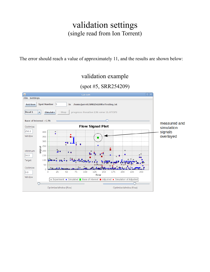## validation settings (single read from Ion Torrent)

The error should reach a value of approximately 11, and the results are shown below:

### validation example

### (spot #5, SRR254209)

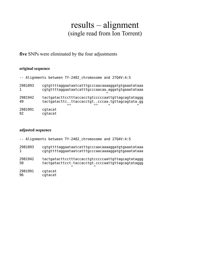## results – alignment (single read from Ion Torrent)

**five** SNPs were eliminated by the four adjustments

#### **original sequence**

|               | -- Alignments between TY-2482 chromosome and 2704V:4:5                                                                            |
|---------------|-----------------------------------------------------------------------------------------------------------------------------------|
| 2981893       | cgtgttttaggaataatcatttgcccaacaaaaggatgtgaaatataaa                                                                                 |
| 1             | cgtgttttaggaataatcatttgcccaacaa.aggatgtgaaatataaa                                                                                 |
| 2981942<br>49 | tactgatacttcctttaccacctgtcccccaattgttagcagtataggg<br>tactgatacttcttaccacctgtcccaa.tgttagcagtata.gg<br>$\lambda$<br>$\lambda$<br>∼ |
| 2981991       | cgtacat                                                                                                                           |
| 92            | cqtacat                                                                                                                           |

#### **adjusted sequence**

|               | -- Alignments between TY-2482 chromosome and 2704V:4:5                                                                        |
|---------------|-------------------------------------------------------------------------------------------------------------------------------|
| 2981893       | cgtgttttaggaataatcatttgcccaacaaaaggatgtgaaatataaa                                                                             |
| $\mathbf{1}$  | cgtgttttaggaataatcatttgcccaacaaaaggatgtgaaatataaa                                                                             |
| 2981942<br>50 | tactgatacttcctttaccacctgtcccccaattgttagcagtataggg<br>tactgatacttcct.taccacctgt.ccccaattgttagcagtataggg<br>$\hat{\phantom{a}}$ |
| 2981991       | cgtacat                                                                                                                       |
| 96            | cgtacat                                                                                                                       |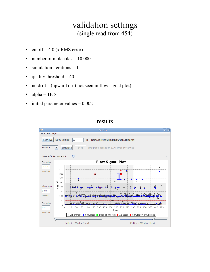## validation settings (single read from 454)

- cutoff =  $4.0$  (x RMS error)
- $\bullet$  number of molecules = 10,000
- $\bullet$  simulation iterations = 1
- quality threshold  $= 40$
- no drift (upward drift not seen in flow signal plot)
- alpha =  $1E-8$
- $\cdot$  initial parameter values = 0.002

#### results

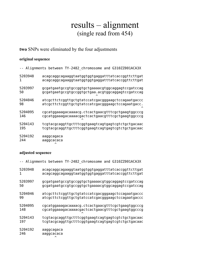## results – alignment (single read from 454)

#### **two** SNPs were eliminated by the four adjustments

#### **original sequence**

|         | Alignments between TY-2482_chromosome and G310ZZ001ACA3X                                               |
|---------|--------------------------------------------------------------------------------------------------------|
| 5203948 | acagcaggcagaaggtaatggtggtgaggatttatcaccggttcttgat<br>acagcaggcagaaggtaatggtggtgaggatttatcaccggttcttgat |
| 5203997 | gcgatgaatgccgtgccggtgctgaaaacgtggcaggagtccgatccag                                                      |
| 50      | gcgatgaatgccgtgccggtgctgaa.acgtggcaggagtccgatccag                                                      |
| 5204046 | atcgcttctcggttgctgtatccatcgacgggaagctccagaatgaccc                                                      |
| 98      | atcgcttctcggttgctgtatccatcgacgggaagctccagaatgacc.                                                      |
| 5204095 | cgcatggaaagacaaaacg.ctcactgaacgtttcgctgaagtggcccg                                                      |
| 146     | cgcatggaaagacaaaacgactcactgaacgtttcgctgaagtggcccg                                                      |
| 5204143 | tcgtacgcaggttgctttcggtgaagtcagtgagtcgtctgctgacaac                                                      |
| 195     | tcgtacgcaggttgctttcggtgaagtcagtgagtcgtctgctgacaac                                                      |
| 5204192 | aaggcagaca                                                                                             |
| 244     | aaggcacaca                                                                                             |

#### **adjusted sequence**

 $\sim$   $\sim$ 

|         | Alignments between TY-2482_chromosome and G310ZZ001ACA3X |
|---------|----------------------------------------------------------|
| 5203948 | acagcaggcagaaggtaatggtggtgaggatttatcaccggttcttgat        |
| 1       | acagcaggcagaaggtaatggtggtgaggatttatcaccggttcttgat        |
| 5203997 | gcgatgaatgccgtgccggtgctgaaaacgtggcaggagtccgatccag        |
| 50      | gcgatgaatgccgtgccggtgctgaaaacgtggcaggagtccgatccag        |
| 5204046 | atcgcttctcggttgctgtatccatcgacgggaagctccagaatgaccc        |
| 99      | atcgcttctcggttgctgtatccatcgacgggaagctccagaatgaccc        |
| 5204095 | cgcatggaaagacaaaacg.ctcactgaacgtttcgctgaagtggcccg        |
| 148     | cgcatggaaagacaaaacgactcactgaacgtttcgctgaagtggcccg        |
| 5204143 | tcgtacgcaggttgctttcggtgaagtcagtgagtcgtctgctgacaac        |
| 197     | tcgtacgcaggttgctttcggtgaagtcagtgagtcgtctgctgacaac        |
| 5204192 | aaggcagaca                                               |
| 246     | aaggcacaca                                               |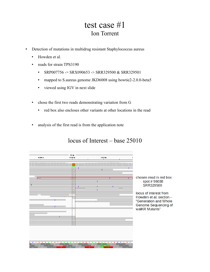## test case #1 Ion Torrent

- Detection of mutations in multidrug resistant Staphylococcus aureus
	- Howden et al.
	- reads for strain TPS3190
		- $\cdot$  SRP007756 -> SRX090653 -> SRR329500 & SRR329501
		- mapped to S.aureus genome JKD6008 using bowtie2-2.0.0-beta5
		- viewed using IGV in next slide
	- chose the first two reads demonstrating variation from G
		- red box also encloses other variants at other locations in the read
	- analysis of the first read is from the application note

### locus of Interest – base 25010



chosen read in red box: spot #96038 SRR329500

locus of interest from Howden et al. section -"Generation and Whole **Genome Sequencing of** walKR Mutants"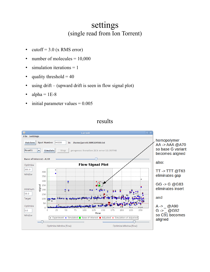### settings (single read from Ion Torrent)

- cutoff =  $3.0$  (x RMS error)
- $\bullet$  number of molecules = 10,000
- $\bullet$  simulation iterations = 1
- quality threshold  $= 40$
- using drift (upward drift is seen in flow signal plot)
- $alpha = 1E-8$
- $\cdot$  initial parameter values =  $0.005$

#### results

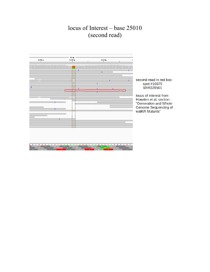### locus of Interest – base 25010 (second read)



second read in red box: spot #10375 SRR329501

locus of interest from Howden et al. section -"Generation and Whole Genome Sequencing of walKR Mutants"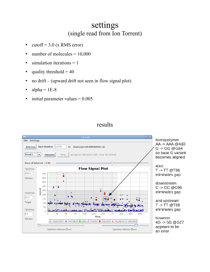### settings (single read from Ion Torrent)

- cutoff =  $3.0$  (x RMS error)
- $\bullet$  number of molecules = 10,000
- simulation iterations  $= 1$
- quality threshold  $= 40$
- no drift (upward drift not seen in flow signal plot)
- alpha =  $1E-8$
- $\cdot$  initial parameter values = 0.005

### results

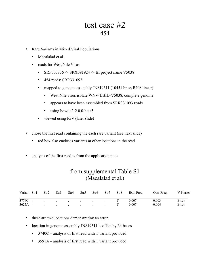### test case #2 454

- Rare Variants in Mixed Viral Populations
	- Macalalad et al.
	- reads for West Nile Virus
		- $\cdot$  SRP007836 -> SRX091924 -> BI project name V5038
		- 454 reads: SRR331093
		- mapped to genome assembly JN819311 (10451 bp ss-RNA linear)
			- West Nile virus isolate WNV-1/BID-V5038, complete genome
			- appears to have been assembled from SRR331093 reads
			- using bowtie2-2.0.0-beta5
		- viewed using IGV (later slide)
- chose the first read containing the each rare variant (see next slide)
	- red box also encloses variants at other locations in the read
- analysis of the first read is from the application note

### from supplemental Table S1 (Macalalad et al.)

| Variant Str1 | Str2 | Str3 | Str4 | Str5                                                                                                            | Str6 | Str7           | Str8 | Exp. Freq. | Obs. Freq. | V-Phaser |
|--------------|------|------|------|-----------------------------------------------------------------------------------------------------------------|------|----------------|------|------------|------------|----------|
| 3774C        |      |      |      | and the state of the state of the state of the state of the state of the state of the state of the state of the |      | $\overline{a}$ |      | 0.007      | 0.003      | Error    |
| 3625A        |      |      |      | the control of the control of the control of the control of the control of                                      |      |                |      | 0.007      | 0.004      | Error    |

- these are two locations demonstrating an error
- location in genome assembly JN819311 is offset by 34 bases
	- 3740C analysis of first read with T variant provided
	- 3591A analysis of first read with T variant provided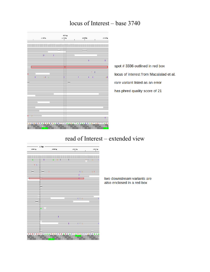### locus of Interest – base 3740



spot #3336 outlined in red box locus of interest from Macalalad et al. rare variant listed as an error has phred quality score of 21

### read of Interest – extended view



two downstream variants are also enclosed in a red box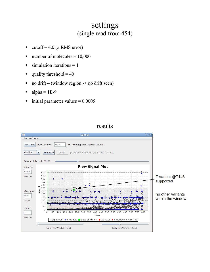## settings (single read from 454)

- cutoff =  $4.0$  (x RMS error)
- number of molecules = 10,000
- $\bullet$  simulation iterations = 1
- quality threshold  $= 40$
- no drift (window region  $\rightarrow$  no drift seen)
- alpha =  $1E-9$
- $\cdot$  initial parameter values = 0.0005



### results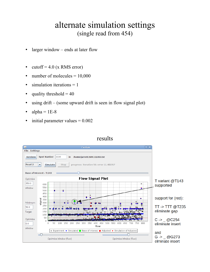## alternate simulation settings (single read from 454)

- larger window ends at later flow
- cutoff =  $4.0$  (x RMS error)
- $\bullet$  number of molecules = 10,000
- simulation iterations = 1
- quality threshold  $= 40$
- using drift (some upward drift is seen in flow signal plot)
- alpha =  $1E-8$
- initial parameter values  $= 0.002$

#### results

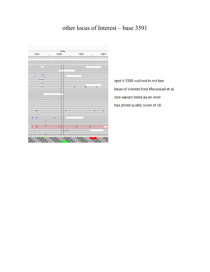### other locus of Interest – base 3591



spot # 2335 outlined in red box locus of interest from Macalalad et al. rare variant listed as an error has phred quality score of 16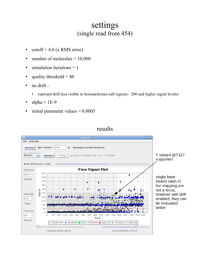### settings (single read from 454)

- cutoff =  $4.0$  (x RMS error)
- $\bullet$  number of molecules = 10,000
- $\bullet$  simulation iterations = 1
- quality threshold  $= 40$
- no drift
	- (upward drift less visible in homopolymer-call regions 200 and higher signal levels)
- alpha =  $1E-9$
- $\cdot$  initial parameter values = 0.0005



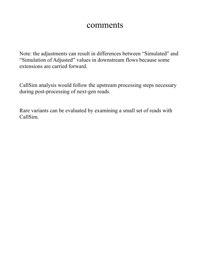### comments

Note: the adjustments can result in differences between "Simulated" and "Simulation of Adjusted" values in downstream flows because some extensions are carried forward.

CallSim analysis would follow the upstream processing steps necessary during post-processing of next-gen reads.

Rare variants can be evaluated by examining a small set of reads with CallSim.